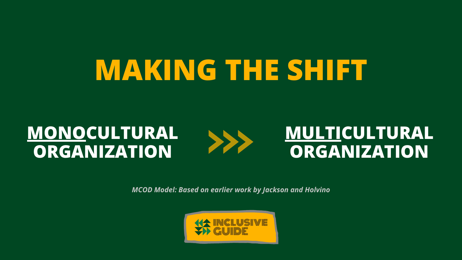### **MONOCULTURAL ORGANIZATION**

>>>

### **MULTICULTURAL ORGANIZATION**

# **MAKING THE SHIFT**

*MCOD Model: Based on earlier work by Jackson and Holvino*



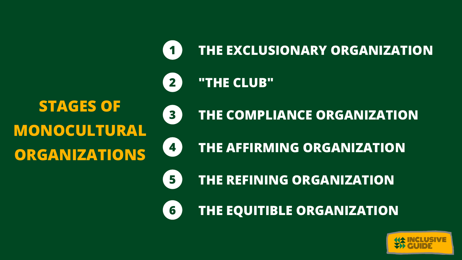### **THE EXCLUSIONARY ORGANIZATION**

### **THE COMPLIANCE ORGANIZATION**





### **STAGES OF MONOCULTURAL ORGANIZATIONS**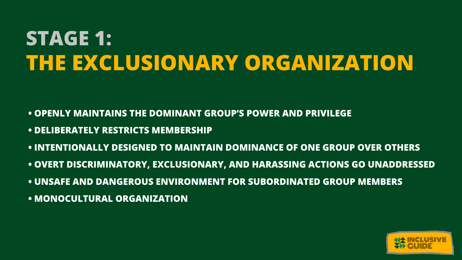## **STAGE 1: THE EXCLUSIONARY ORGANIZATION**

- **• OPENLY MAINTAINS THE DOMINANT GROUP'S POWER AND PRIVILEGE**
- **• DELIBERATELY RESTRICTS MEMBERSHIP**
- **• INTENTIONALLY DESIGNED TO MAINTAIN DOMINANCE OF ONE GROUP OVER OTHERS**
- **• OVERT DISCRIMINATORY, EXCLUSIONARY, AND HARASSING ACTIONS GO UNADDRESSED**
- **• UNSAFE AND DANGEROUS ENVIRONMENT FOR SUBORDINATED GROUP MEMBERS**
- **• MONOCULTURAL ORGANIZATION**

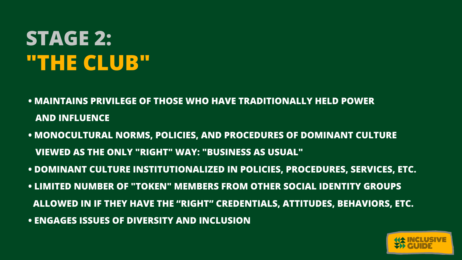## **STAGE 2: "THE CLUB"**

- **• MAINTAINS PRIVILEGE OF THOSE WHO HAVE TRADITIONALLY HELD POWER AND INFLUENCE**
- **• MONOCULTURAL NORMS, POLICIES, AND PROCEDURES OF DOMINANT CULTURE VIEWED AS THE ONLY "RIGHT" WAY: "BUSINESS AS USUAL"**
- **• DOMINANT CULTURE INSTITUTIONALIZED IN POLICIES, PROCEDURES, SERVICES, ETC.**
- **• LIMITED NUMBER OF "TOKEN" MEMBERS FROM OTHER SOCIAL IDENTITY GROUPS ALLOWED IN IF THEY HAVE THE "RIGHT" CREDENTIALS, ATTITUDES, BEHAVIORS, ETC.**
- **• ENGAGES ISSUES OF DIVERSITY AND INCLUSION**

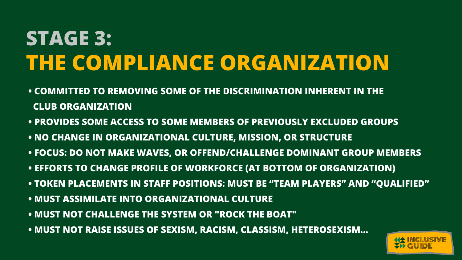## **STAGE 3: THE COMPLIANCE ORGANIZATION**

- **• COMMITTED TO REMOVING SOME OF THE DISCRIMINATION INHERENT IN THE CLUB ORGANIZATION**
- **• PROVIDES SOME ACCESS TO SOME MEMBERS OF PREVIOUSLY EXCLUDED GROUPS**
- **• NO CHANGE IN ORGANIZATIONAL CULTURE, MISSION, OR STRUCTURE**
- **• FOCUS: DO NOT MAKE WAVES, OR OFFEND/CHALLENGE DOMINANT GROUP MEMBERS**
- **• EFFORTS TO CHANGE PROFILE OF WORKFORCE (AT BOTTOM OF ORGANIZATION)**
- **• TOKEN PLACEMENTS IN STAFF POSITIONS: MUST BE "TEAM PLAYERS" AND "QUALIFIED"**
- **• MUST ASSIMILATE INTO ORGANIZATIONAL CULTURE**
- **• MUST NOT CHALLENGE THE SYSTEM OR "ROCK THE BOAT"**
- **• MUST NOT RAISE ISSUES OF SEXISM, RACISM, CLASSISM, HETEROSEXISM...**

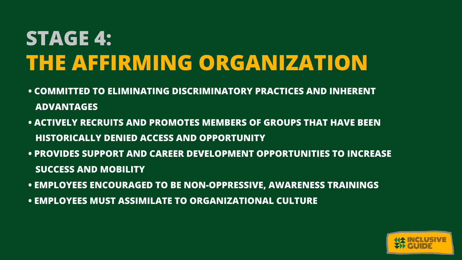## **STAGE 4: THE AFFIRMING ORGANIZATION**

- **• COMMITTED TO ELIMINATING DISCRIMINATORY PRACTICES AND INHERENT ADVANTAGES**
- **• ACTIVELY RECRUITS AND PROMOTES MEMBERS OF GROUPS THAT HAVE BEEN HISTORICALLY DENIED ACCESS AND OPPORTUNITY**
- **• PROVIDES SUPPORT AND CAREER DEVELOPMENT OPPORTUNITIES TO INCREASE SUCCESS AND MOBILITY**
- **• EMPLOYEES ENCOURAGED TO BE NON-OPPRESSIVE, AWARENESS TRAININGS**
- **• EMPLOYEES MUST ASSIMILATE TO ORGANIZATIONAL CULTURE**

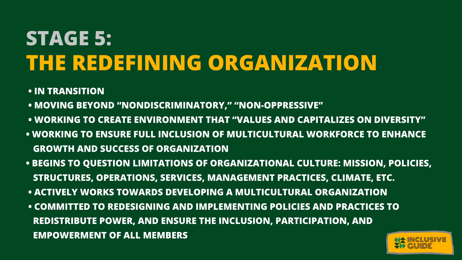## **STAGE 5: THE REDEFINING ORGANIZATION**

- **• IN TRANSITION**
- **• MOVING BEYOND "NONDISCRIMINATORY, " "NON-OPPRESSIVE"**
- **• WORKING TO CREATE ENVIRONMENT THAT "VALUES AND CAPITALIZES ON DIVERSITY"**
- **• WORKING TO ENSURE FULL INCLUSION OF MULTICULTURAL WORKFORCE TO ENHANCE GROWTH AND SUCCESS OF ORGANIZATION**
- **• BEGINS TO QUESTION LIMITATIONS OF ORGANIZATIONAL CULTURE: MISSION, POLICIES, STRUCTURES, OPERATIONS, SERVICES, MANAGEMENT PRACTICES, CLIMATE, ETC.**
- **• ACTIVELY WORKS TOWARDS DEVELOPING A MULTICULTURAL ORGANIZATION**
- **• COMMITTED TO REDESIGNING AND IMPLEMENTING POLICIES AND PRACTICES TO REDISTRIBUTE POWER, AND ENSURE THE INCLUSION, PARTICIPATION, AND EMPOWERMENT OF ALL MEMBERS**



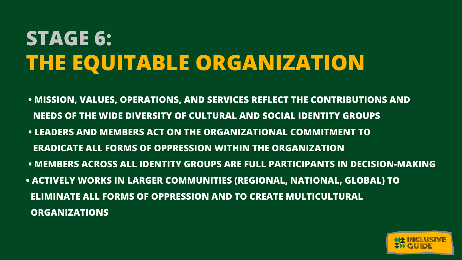## **STAGE 6: THE EQUITABLE ORGANIZATION**

- **NEEDS OF THE WIDE DIVERSITY OF CULTURAL AND SOCIAL IDENTITY GROUPS ERADICATE ALL FORMS OF OPPRESSION WITHIN THE ORGANIZATION ELIMINATE ALL FORMS OF OPPRESSION AND TO CREATE MULTICULTURAL**
- 
- **• MISSION, VALUES, OPERATIONS, AND SERVICES REFLECT THE CONTRIBUTIONS AND • LEADERS AND MEMBERS ACT ON THE ORGANIZATIONAL COMMITMENT TO • MEMBERS ACROSS ALL IDENTITY GROUPS ARE FULL PARTICIPANTS IN DECISION-MAKING • ACTIVELY WORKS IN LARGER COMMUNITIES (REGIONAL, NATIONAL, GLOBAL) TO**
- **ORGANIZATIONS**

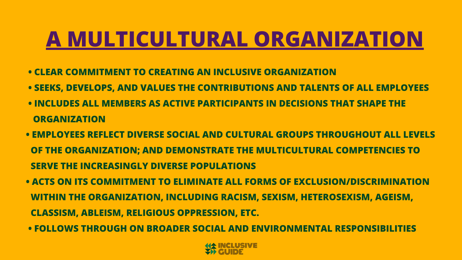### **A MULTICULTURAL ORGANIZATION**

- **• CLEAR COMMITMENT TO CREATING AN INCLUSIVE ORGANIZATION**
- **• SEEKS, DEVELOPS, AND VALUES THE CONTRIBUTIONS AND TALENTS OF ALL EMPLOYEES**
- **• INCLUDES ALL MEMBERS AS ACTIVE PARTICIPANTS IN DECISIONS THAT SHAPE THE ORGANIZATION**
- **• EMPLOYEES REFLECT DIVERSE SOCIAL AND CULTURAL GROUPS THROUGHOUT ALL LEVELS OF THE ORGANIZATION; AND DEMONSTRATE THE MULTICULTURAL COMPETENCIES TO SERVE THE INCREASINGLY DIVERSE POPULATIONS**
- **• ACTS ON ITS COMMITMENT TO ELIMINATE ALL FORMS OF EXCLUSION/DISCRIMINATION WITHIN THE ORGANIZATION, INCLUDING RACISM, SEXISM, HETEROSEXISM, AGEISM, CLASSISM, ABLEISM, RELIGIOUS OPPRESSION, ETC.**
- **• FOLLOWS THROUGH ON BROADER SOCIAL AND ENVIRONMENTAL RESPONSIBILITIES**